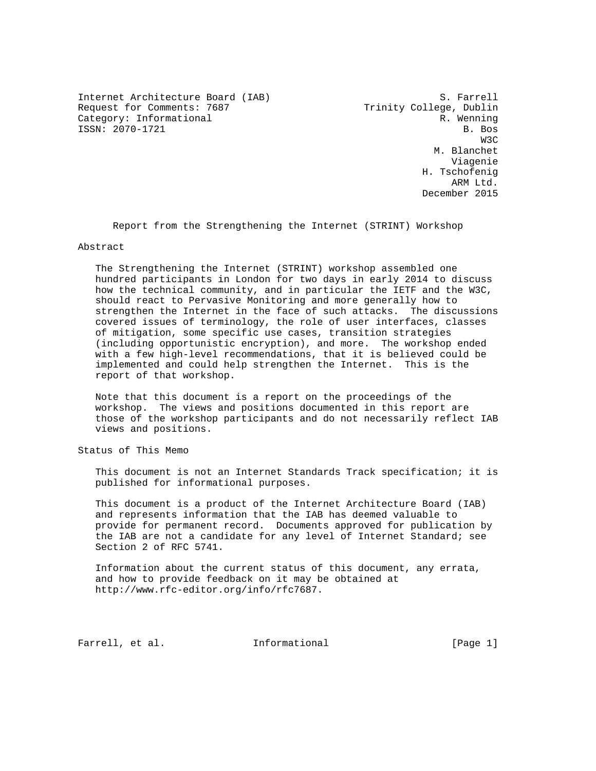Internet Architecture Board (IAB) 5. Farrell<br>Request for Comments: 7687 Trinity College, Dublin Request for Comments: 7687 Category: Informational R. Wenning ISSN: 2070-1721 B. Bos

was a structured by the state of the state of the state of the state of the state of the state of the state of the state of the state of the state of the state of the state of the state of the state of the state of the sta M. Blanchet Viagenie H. Tschofenig arm Ltd. December 2015

Report from the Strengthening the Internet (STRINT) Workshop

#### Abstract

 The Strengthening the Internet (STRINT) workshop assembled one hundred participants in London for two days in early 2014 to discuss how the technical community, and in particular the IETF and the W3C, should react to Pervasive Monitoring and more generally how to strengthen the Internet in the face of such attacks. The discussions covered issues of terminology, the role of user interfaces, classes of mitigation, some specific use cases, transition strategies (including opportunistic encryption), and more. The workshop ended with a few high-level recommendations, that it is believed could be implemented and could help strengthen the Internet. This is the report of that workshop.

 Note that this document is a report on the proceedings of the workshop. The views and positions documented in this report are those of the workshop participants and do not necessarily reflect IAB views and positions.

Status of This Memo

 This document is not an Internet Standards Track specification; it is published for informational purposes.

 This document is a product of the Internet Architecture Board (IAB) and represents information that the IAB has deemed valuable to provide for permanent record. Documents approved for publication by the IAB are not a candidate for any level of Internet Standard; see Section 2 of RFC 5741.

 Information about the current status of this document, any errata, and how to provide feedback on it may be obtained at http://www.rfc-editor.org/info/rfc7687.

Farrell, et al. 1nformational [Page 1]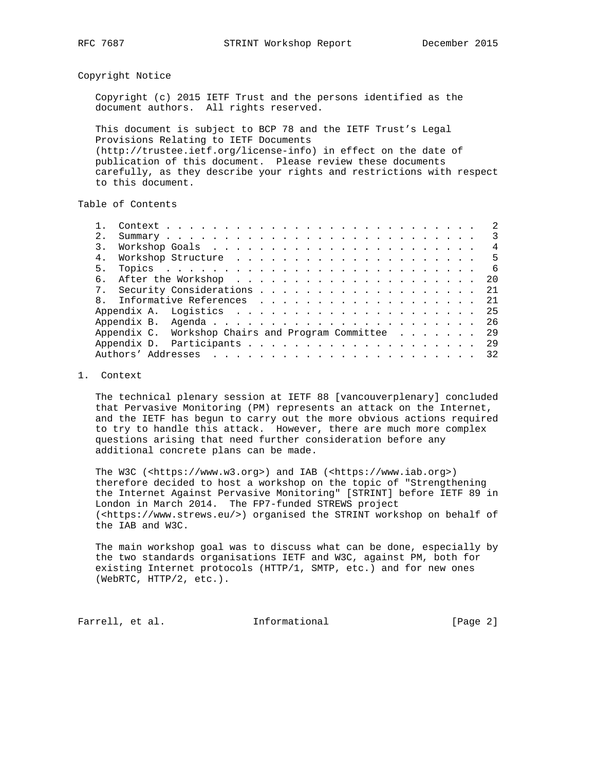Copyright Notice

 Copyright (c) 2015 IETF Trust and the persons identified as the document authors. All rights reserved.

 This document is subject to BCP 78 and the IETF Trust's Legal Provisions Relating to IETF Documents (http://trustee.ietf.org/license-info) in effect on the date of publication of this document. Please review these documents carefully, as they describe your rights and restrictions with respect to this document.

Table of Contents

|              |                                                   |  |  |  |  |  |  |  |  |  |  |  | 3   |
|--------------|---------------------------------------------------|--|--|--|--|--|--|--|--|--|--|--|-----|
|              |                                                   |  |  |  |  |  |  |  |  |  |  |  | 4   |
| 4.           |                                                   |  |  |  |  |  |  |  |  |  |  |  | 5   |
| 5.           |                                                   |  |  |  |  |  |  |  |  |  |  |  | 6   |
| б.           |                                                   |  |  |  |  |  |  |  |  |  |  |  | 20  |
|              |                                                   |  |  |  |  |  |  |  |  |  |  |  | 2.1 |
| $\mathsf{R}$ |                                                   |  |  |  |  |  |  |  |  |  |  |  | 2.1 |
|              |                                                   |  |  |  |  |  |  |  |  |  |  |  |     |
|              |                                                   |  |  |  |  |  |  |  |  |  |  |  |     |
|              | Appendix C. Workshop Chairs and Program Committee |  |  |  |  |  |  |  |  |  |  |  | 29  |
|              |                                                   |  |  |  |  |  |  |  |  |  |  |  | 29  |
|              |                                                   |  |  |  |  |  |  |  |  |  |  |  | 32  |

### 1. Context

 The technical plenary session at IETF 88 [vancouverplenary] concluded that Pervasive Monitoring (PM) represents an attack on the Internet, and the IETF has begun to carry out the more obvious actions required to try to handle this attack. However, there are much more complex questions arising that need further consideration before any additional concrete plans can be made.

 The W3C (<https://www.w3.org>) and IAB (<https://www.iab.org>) therefore decided to host a workshop on the topic of "Strengthening the Internet Against Pervasive Monitoring" [STRINT] before IETF 89 in London in March 2014. The FP7-funded STREWS project (<https://www.strews.eu/>) organised the STRINT workshop on behalf of the IAB and W3C.

 The main workshop goal was to discuss what can be done, especially by the two standards organisations IETF and W3C, against PM, both for existing Internet protocols (HTTP/1, SMTP, etc.) and for new ones (WebRTC, HTTP/2, etc.).

Farrell, et al. 1nformational 1999 [Page 2]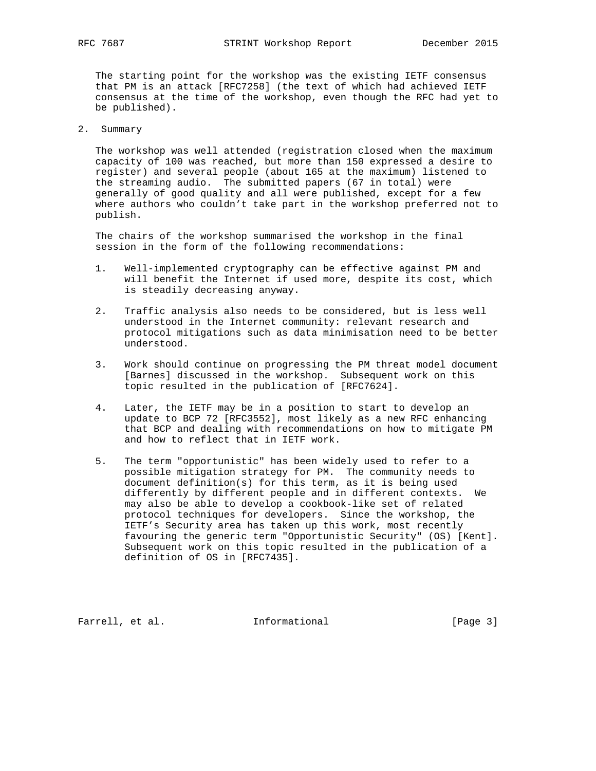The starting point for the workshop was the existing IETF consensus that PM is an attack [RFC7258] (the text of which had achieved IETF consensus at the time of the workshop, even though the RFC had yet to be published).

2. Summary

 The workshop was well attended (registration closed when the maximum capacity of 100 was reached, but more than 150 expressed a desire to register) and several people (about 165 at the maximum) listened to the streaming audio. The submitted papers (67 in total) were generally of good quality and all were published, except for a few where authors who couldn't take part in the workshop preferred not to publish.

 The chairs of the workshop summarised the workshop in the final session in the form of the following recommendations:

- 1. Well-implemented cryptography can be effective against PM and will benefit the Internet if used more, despite its cost, which is steadily decreasing anyway.
- 2. Traffic analysis also needs to be considered, but is less well understood in the Internet community: relevant research and protocol mitigations such as data minimisation need to be better understood.
- 3. Work should continue on progressing the PM threat model document [Barnes] discussed in the workshop. Subsequent work on this topic resulted in the publication of [RFC7624].
- 4. Later, the IETF may be in a position to start to develop an update to BCP 72 [RFC3552], most likely as a new RFC enhancing that BCP and dealing with recommendations on how to mitigate PM and how to reflect that in IETF work.
- 5. The term "opportunistic" has been widely used to refer to a possible mitigation strategy for PM. The community needs to document definition(s) for this term, as it is being used differently by different people and in different contexts. We may also be able to develop a cookbook-like set of related protocol techniques for developers. Since the workshop, the IETF's Security area has taken up this work, most recently favouring the generic term "Opportunistic Security" (OS) [Kent]. Subsequent work on this topic resulted in the publication of a definition of OS in [RFC7435].

Farrell, et al. 1nformational [Page 3]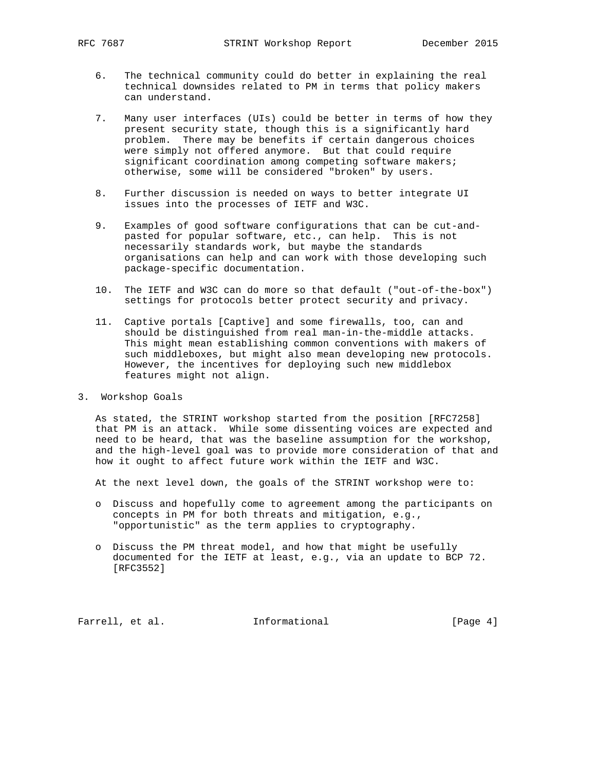- 6. The technical community could do better in explaining the real technical downsides related to PM in terms that policy makers can understand.
- 7. Many user interfaces (UIs) could be better in terms of how they present security state, though this is a significantly hard problem. There may be benefits if certain dangerous choices were simply not offered anymore. But that could require significant coordination among competing software makers; otherwise, some will be considered "broken" by users.
- 8. Further discussion is needed on ways to better integrate UI issues into the processes of IETF and W3C.
- 9. Examples of good software configurations that can be cut-and pasted for popular software, etc., can help. This is not necessarily standards work, but maybe the standards organisations can help and can work with those developing such package-specific documentation.
- 10. The IETF and W3C can do more so that default ("out-of-the-box") settings for protocols better protect security and privacy.
- 11. Captive portals [Captive] and some firewalls, too, can and should be distinguished from real man-in-the-middle attacks. This might mean establishing common conventions with makers of such middleboxes, but might also mean developing new protocols. However, the incentives for deploying such new middlebox features might not align.
- 3. Workshop Goals

 As stated, the STRINT workshop started from the position [RFC7258] that PM is an attack. While some dissenting voices are expected and need to be heard, that was the baseline assumption for the workshop, and the high-level goal was to provide more consideration of that and how it ought to affect future work within the IETF and W3C.

At the next level down, the goals of the STRINT workshop were to:

- o Discuss and hopefully come to agreement among the participants on concepts in PM for both threats and mitigation, e.g., "opportunistic" as the term applies to cryptography.
- o Discuss the PM threat model, and how that might be usefully documented for the IETF at least, e.g., via an update to BCP 72. [RFC3552]

Farrell, et al. 1nformational [Page 4]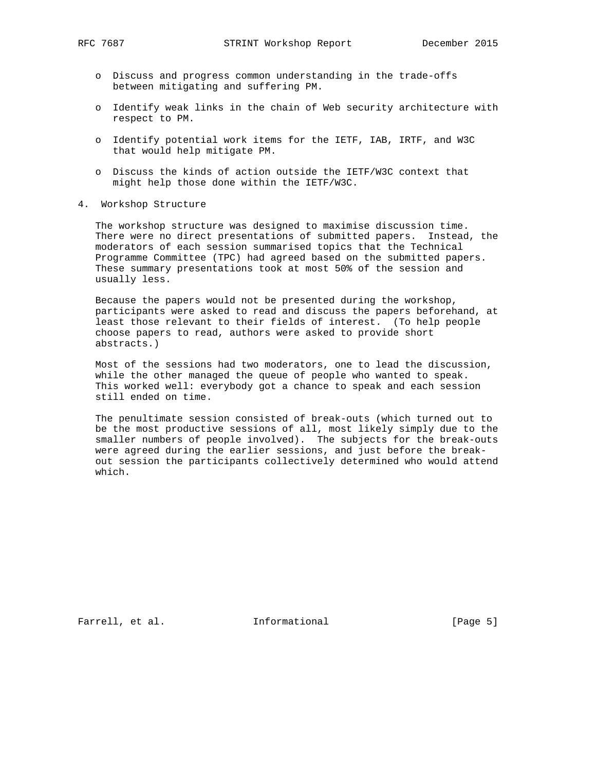- o Discuss and progress common understanding in the trade-offs between mitigating and suffering PM.
- o Identify weak links in the chain of Web security architecture with respect to PM.
- o Identify potential work items for the IETF, IAB, IRTF, and W3C that would help mitigate PM.
- o Discuss the kinds of action outside the IETF/W3C context that might help those done within the IETF/W3C.
- 4. Workshop Structure

 The workshop structure was designed to maximise discussion time. There were no direct presentations of submitted papers. Instead, the moderators of each session summarised topics that the Technical Programme Committee (TPC) had agreed based on the submitted papers. These summary presentations took at most 50% of the session and usually less.

 Because the papers would not be presented during the workshop, participants were asked to read and discuss the papers beforehand, at least those relevant to their fields of interest. (To help people choose papers to read, authors were asked to provide short abstracts.)

 Most of the sessions had two moderators, one to lead the discussion, while the other managed the queue of people who wanted to speak. This worked well: everybody got a chance to speak and each session still ended on time.

 The penultimate session consisted of break-outs (which turned out to be the most productive sessions of all, most likely simply due to the smaller numbers of people involved). The subjects for the break-outs were agreed during the earlier sessions, and just before the break out session the participants collectively determined who would attend which.

Farrell, et al. 1nformational [Page 5]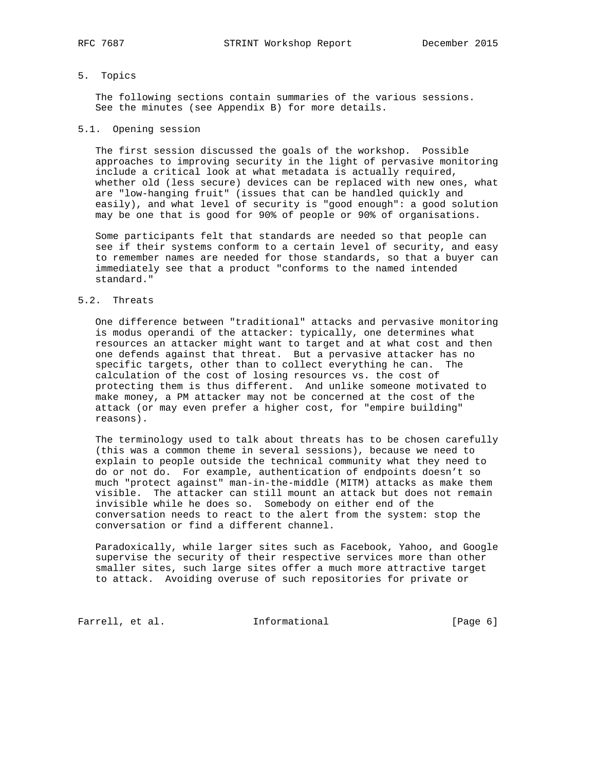# 5. Topics

 The following sections contain summaries of the various sessions. See the minutes (see Appendix B) for more details.

#### 5.1. Opening session

 The first session discussed the goals of the workshop. Possible approaches to improving security in the light of pervasive monitoring include a critical look at what metadata is actually required, whether old (less secure) devices can be replaced with new ones, what are "low-hanging fruit" (issues that can be handled quickly and easily), and what level of security is "good enough": a good solution may be one that is good for 90% of people or 90% of organisations.

 Some participants felt that standards are needed so that people can see if their systems conform to a certain level of security, and easy to remember names are needed for those standards, so that a buyer can immediately see that a product "conforms to the named intended standard."

#### 5.2. Threats

 One difference between "traditional" attacks and pervasive monitoring is modus operandi of the attacker: typically, one determines what resources an attacker might want to target and at what cost and then one defends against that threat. But a pervasive attacker has no specific targets, other than to collect everything he can. The calculation of the cost of losing resources vs. the cost of protecting them is thus different. And unlike someone motivated to make money, a PM attacker may not be concerned at the cost of the attack (or may even prefer a higher cost, for "empire building" reasons).

 The terminology used to talk about threats has to be chosen carefully (this was a common theme in several sessions), because we need to explain to people outside the technical community what they need to do or not do. For example, authentication of endpoints doesn't so much "protect against" man-in-the-middle (MITM) attacks as make them visible. The attacker can still mount an attack but does not remain invisible while he does so. Somebody on either end of the conversation needs to react to the alert from the system: stop the conversation or find a different channel.

 Paradoxically, while larger sites such as Facebook, Yahoo, and Google supervise the security of their respective services more than other smaller sites, such large sites offer a much more attractive target to attack. Avoiding overuse of such repositories for private or

Farrell, et al. 1nformational [Page 6]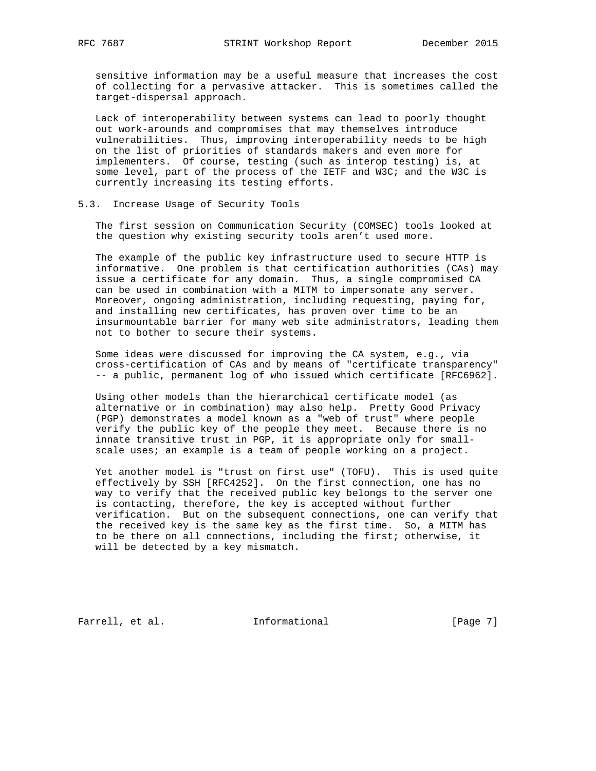sensitive information may be a useful measure that increases the cost of collecting for a pervasive attacker. This is sometimes called the target-dispersal approach.

 Lack of interoperability between systems can lead to poorly thought out work-arounds and compromises that may themselves introduce vulnerabilities. Thus, improving interoperability needs to be high on the list of priorities of standards makers and even more for implementers. Of course, testing (such as interop testing) is, at some level, part of the process of the IETF and W3C; and the W3C is currently increasing its testing efforts.

# 5.3. Increase Usage of Security Tools

 The first session on Communication Security (COMSEC) tools looked at the question why existing security tools aren't used more.

 The example of the public key infrastructure used to secure HTTP is informative. One problem is that certification authorities (CAs) may issue a certificate for any domain. Thus, a single compromised CA can be used in combination with a MITM to impersonate any server. Moreover, ongoing administration, including requesting, paying for, and installing new certificates, has proven over time to be an insurmountable barrier for many web site administrators, leading them not to bother to secure their systems.

 Some ideas were discussed for improving the CA system, e.g., via cross-certification of CAs and by means of "certificate transparency" -- a public, permanent log of who issued which certificate [RFC6962].

 Using other models than the hierarchical certificate model (as alternative or in combination) may also help. Pretty Good Privacy (PGP) demonstrates a model known as a "web of trust" where people verify the public key of the people they meet. Because there is no innate transitive trust in PGP, it is appropriate only for small scale uses; an example is a team of people working on a project.

 Yet another model is "trust on first use" (TOFU). This is used quite effectively by SSH [RFC4252]. On the first connection, one has no way to verify that the received public key belongs to the server one is contacting, therefore, the key is accepted without further verification. But on the subsequent connections, one can verify that the received key is the same key as the first time. So, a MITM has to be there on all connections, including the first; otherwise, it will be detected by a key mismatch.

Farrell, et al. 1nformational [Page 7]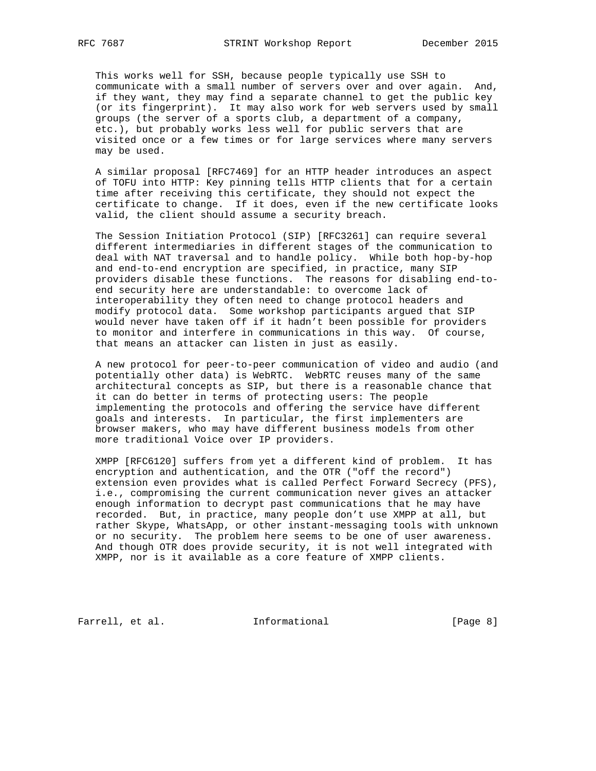This works well for SSH, because people typically use SSH to communicate with a small number of servers over and over again. And, if they want, they may find a separate channel to get the public key (or its fingerprint). It may also work for web servers used by small groups (the server of a sports club, a department of a company, etc.), but probably works less well for public servers that are visited once or a few times or for large services where many servers may be used.

 A similar proposal [RFC7469] for an HTTP header introduces an aspect of TOFU into HTTP: Key pinning tells HTTP clients that for a certain time after receiving this certificate, they should not expect the certificate to change. If it does, even if the new certificate looks valid, the client should assume a security breach.

 The Session Initiation Protocol (SIP) [RFC3261] can require several different intermediaries in different stages of the communication to deal with NAT traversal and to handle policy. While both hop-by-hop and end-to-end encryption are specified, in practice, many SIP providers disable these functions. The reasons for disabling end-to end security here are understandable: to overcome lack of interoperability they often need to change protocol headers and modify protocol data. Some workshop participants argued that SIP would never have taken off if it hadn't been possible for providers to monitor and interfere in communications in this way. Of course, that means an attacker can listen in just as easily.

 A new protocol for peer-to-peer communication of video and audio (and potentially other data) is WebRTC. WebRTC reuses many of the same architectural concepts as SIP, but there is a reasonable chance that it can do better in terms of protecting users: The people implementing the protocols and offering the service have different goals and interests. In particular, the first implementers are browser makers, who may have different business models from other more traditional Voice over IP providers.

 XMPP [RFC6120] suffers from yet a different kind of problem. It has encryption and authentication, and the OTR ("off the record") extension even provides what is called Perfect Forward Secrecy (PFS), i.e., compromising the current communication never gives an attacker enough information to decrypt past communications that he may have recorded. But, in practice, many people don't use XMPP at all, but rather Skype, WhatsApp, or other instant-messaging tools with unknown or no security. The problem here seems to be one of user awareness. And though OTR does provide security, it is not well integrated with XMPP, nor is it available as a core feature of XMPP clients.

Farrell, et al. 1nformational [Page 8]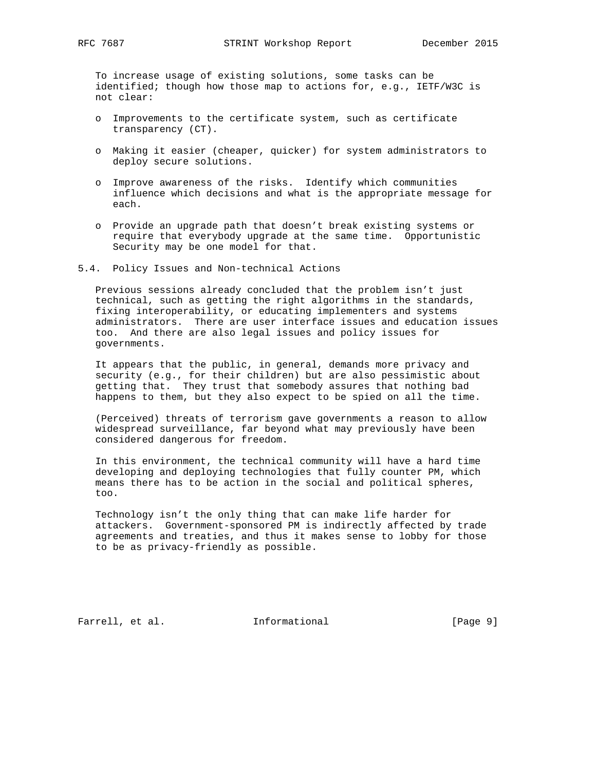To increase usage of existing solutions, some tasks can be identified; though how those map to actions for, e.g., IETF/W3C is not clear:

- o Improvements to the certificate system, such as certificate transparency (CT).
- o Making it easier (cheaper, quicker) for system administrators to deploy secure solutions.
- o Improve awareness of the risks. Identify which communities influence which decisions and what is the appropriate message for each.
- o Provide an upgrade path that doesn't break existing systems or require that everybody upgrade at the same time. Opportunistic Security may be one model for that.

#### 5.4. Policy Issues and Non-technical Actions

 Previous sessions already concluded that the problem isn't just technical, such as getting the right algorithms in the standards, fixing interoperability, or educating implementers and systems administrators. There are user interface issues and education issues too. And there are also legal issues and policy issues for governments.

 It appears that the public, in general, demands more privacy and security (e.g., for their children) but are also pessimistic about getting that. They trust that somebody assures that nothing bad happens to them, but they also expect to be spied on all the time.

 (Perceived) threats of terrorism gave governments a reason to allow widespread surveillance, far beyond what may previously have been considered dangerous for freedom.

 In this environment, the technical community will have a hard time developing and deploying technologies that fully counter PM, which means there has to be action in the social and political spheres, too.

 Technology isn't the only thing that can make life harder for attackers. Government-sponsored PM is indirectly affected by trade agreements and treaties, and thus it makes sense to lobby for those to be as privacy-friendly as possible.

Farrell, et al. 1nformational 1999 [Page 9]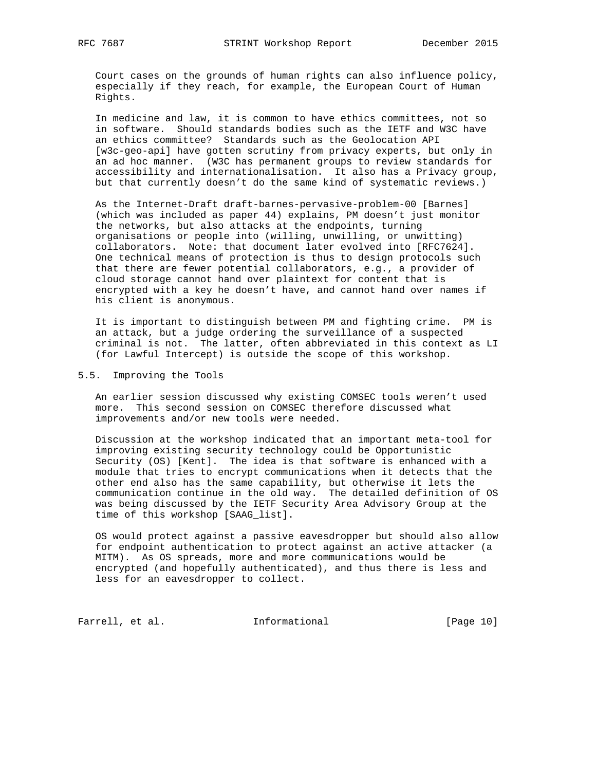Court cases on the grounds of human rights can also influence policy, especially if they reach, for example, the European Court of Human Rights.

 In medicine and law, it is common to have ethics committees, not so in software. Should standards bodies such as the IETF and W3C have an ethics committee? Standards such as the Geolocation API [w3c-geo-api] have gotten scrutiny from privacy experts, but only in an ad hoc manner. (W3C has permanent groups to review standards for accessibility and internationalisation. It also has a Privacy group, but that currently doesn't do the same kind of systematic reviews.)

 As the Internet-Draft draft-barnes-pervasive-problem-00 [Barnes] (which was included as paper 44) explains, PM doesn't just monitor the networks, but also attacks at the endpoints, turning organisations or people into (willing, unwilling, or unwitting) collaborators. Note: that document later evolved into [RFC7624]. One technical means of protection is thus to design protocols such that there are fewer potential collaborators, e.g., a provider of cloud storage cannot hand over plaintext for content that is encrypted with a key he doesn't have, and cannot hand over names if his client is anonymous.

 It is important to distinguish between PM and fighting crime. PM is an attack, but a judge ordering the surveillance of a suspected criminal is not. The latter, often abbreviated in this context as LI (for Lawful Intercept) is outside the scope of this workshop.

5.5. Improving the Tools

 An earlier session discussed why existing COMSEC tools weren't used more. This second session on COMSEC therefore discussed what improvements and/or new tools were needed.

 Discussion at the workshop indicated that an important meta-tool for improving existing security technology could be Opportunistic Security (OS) [Kent]. The idea is that software is enhanced with a module that tries to encrypt communications when it detects that the other end also has the same capability, but otherwise it lets the communication continue in the old way. The detailed definition of OS was being discussed by the IETF Security Area Advisory Group at the time of this workshop [SAAG\_list].

 OS would protect against a passive eavesdropper but should also allow for endpoint authentication to protect against an active attacker (a MITM). As OS spreads, more and more communications would be encrypted (and hopefully authenticated), and thus there is less and less for an eavesdropper to collect.

Farrell, et al. 1nformational [Page 10]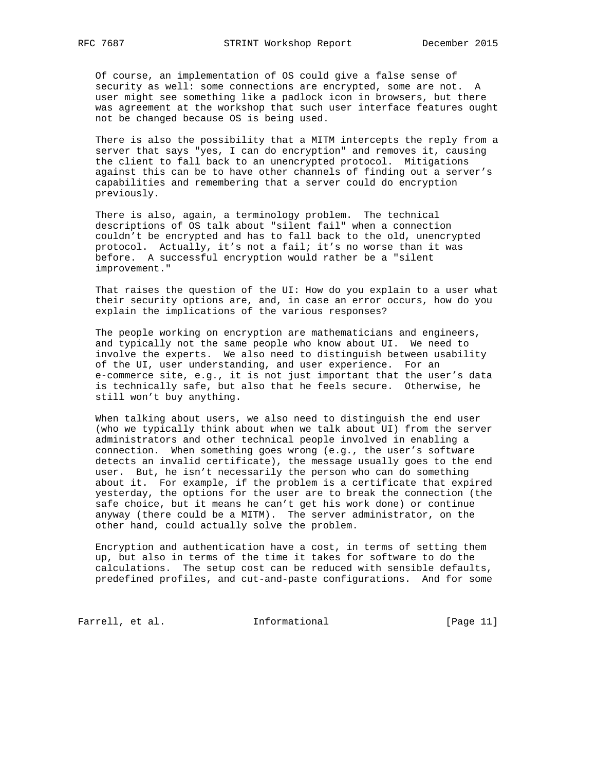Of course, an implementation of OS could give a false sense of security as well: some connections are encrypted, some are not. A user might see something like a padlock icon in browsers, but there was agreement at the workshop that such user interface features ought not be changed because OS is being used.

 There is also the possibility that a MITM intercepts the reply from a server that says "yes, I can do encryption" and removes it, causing the client to fall back to an unencrypted protocol. Mitigations against this can be to have other channels of finding out a server's capabilities and remembering that a server could do encryption previously.

 There is also, again, a terminology problem. The technical descriptions of OS talk about "silent fail" when a connection couldn't be encrypted and has to fall back to the old, unencrypted protocol. Actually, it's not a fail; it's no worse than it was before. A successful encryption would rather be a "silent improvement."

 That raises the question of the UI: How do you explain to a user what their security options are, and, in case an error occurs, how do you explain the implications of the various responses?

 The people working on encryption are mathematicians and engineers, and typically not the same people who know about UI. We need to involve the experts. We also need to distinguish between usability of the UI, user understanding, and user experience. For an e-commerce site, e.g., it is not just important that the user's data is technically safe, but also that he feels secure. Otherwise, he still won't buy anything.

 When talking about users, we also need to distinguish the end user (who we typically think about when we talk about UI) from the server administrators and other technical people involved in enabling a connection. When something goes wrong (e.g., the user's software detects an invalid certificate), the message usually goes to the end user. But, he isn't necessarily the person who can do something about it. For example, if the problem is a certificate that expired yesterday, the options for the user are to break the connection (the safe choice, but it means he can't get his work done) or continue anyway (there could be a MITM). The server administrator, on the other hand, could actually solve the problem.

 Encryption and authentication have a cost, in terms of setting them up, but also in terms of the time it takes for software to do the calculations. The setup cost can be reduced with sensible defaults, predefined profiles, and cut-and-paste configurations. And for some

Farrell, et al. 1nformational [Page 11]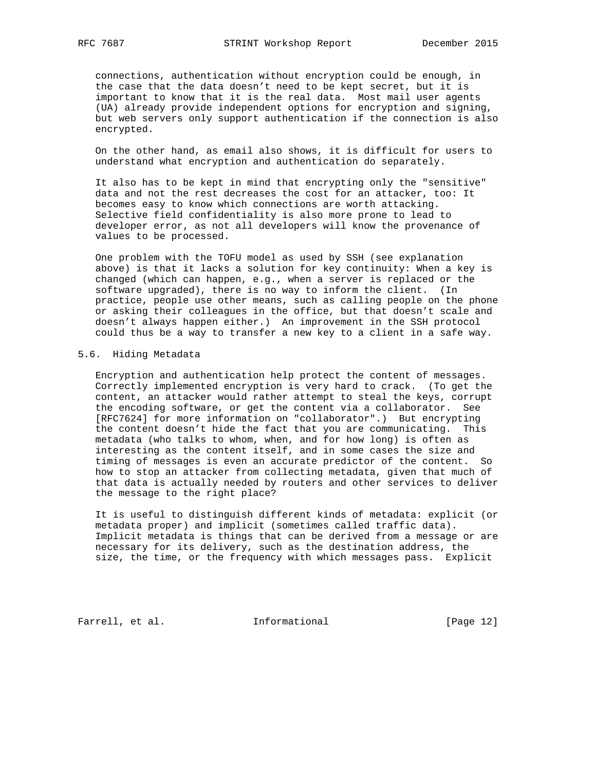connections, authentication without encryption could be enough, in the case that the data doesn't need to be kept secret, but it is important to know that it is the real data. Most mail user agents (UA) already provide independent options for encryption and signing, but web servers only support authentication if the connection is also encrypted.

 On the other hand, as email also shows, it is difficult for users to understand what encryption and authentication do separately.

 It also has to be kept in mind that encrypting only the "sensitive" data and not the rest decreases the cost for an attacker, too: It becomes easy to know which connections are worth attacking. Selective field confidentiality is also more prone to lead to developer error, as not all developers will know the provenance of values to be processed.

 One problem with the TOFU model as used by SSH (see explanation above) is that it lacks a solution for key continuity: When a key is changed (which can happen, e.g., when a server is replaced or the software upgraded), there is no way to inform the client. (In practice, people use other means, such as calling people on the phone or asking their colleagues in the office, but that doesn't scale and doesn't always happen either.) An improvement in the SSH protocol could thus be a way to transfer a new key to a client in a safe way.

## 5.6. Hiding Metadata

 Encryption and authentication help protect the content of messages. Correctly implemented encryption is very hard to crack. (To get the content, an attacker would rather attempt to steal the keys, corrupt the encoding software, or get the content via a collaborator. See [RFC7624] for more information on "collaborator".) But encrypting the content doesn't hide the fact that you are communicating. This metadata (who talks to whom, when, and for how long) is often as interesting as the content itself, and in some cases the size and timing of messages is even an accurate predictor of the content. So how to stop an attacker from collecting metadata, given that much of that data is actually needed by routers and other services to deliver the message to the right place?

 It is useful to distinguish different kinds of metadata: explicit (or metadata proper) and implicit (sometimes called traffic data). Implicit metadata is things that can be derived from a message or are necessary for its delivery, such as the destination address, the size, the time, or the frequency with which messages pass. Explicit

Farrell, et al. 1nformational [Page 12]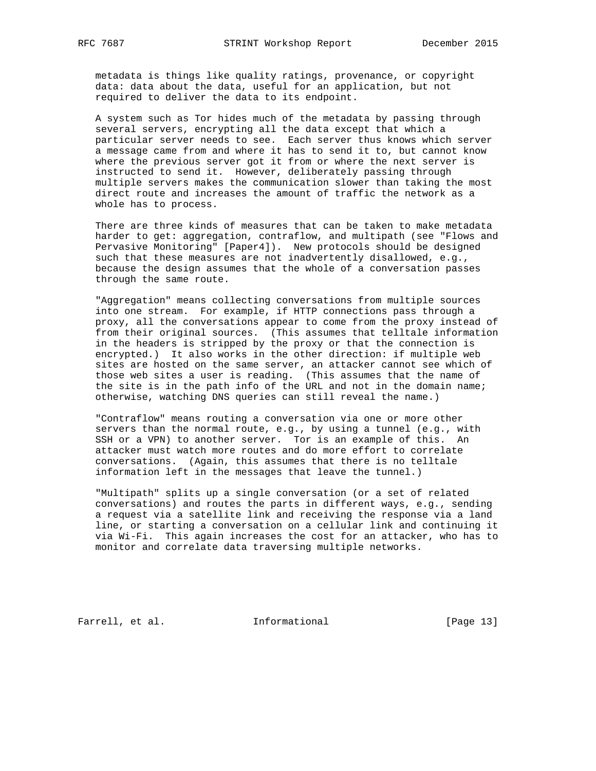metadata is things like quality ratings, provenance, or copyright data: data about the data, useful for an application, but not required to deliver the data to its endpoint.

 A system such as Tor hides much of the metadata by passing through several servers, encrypting all the data except that which a particular server needs to see. Each server thus knows which server a message came from and where it has to send it to, but cannot know where the previous server got it from or where the next server is instructed to send it. However, deliberately passing through multiple servers makes the communication slower than taking the most direct route and increases the amount of traffic the network as a whole has to process.

 There are three kinds of measures that can be taken to make metadata harder to get: aggregation, contraflow, and multipath (see "Flows and Pervasive Monitoring" [Paper4]). New protocols should be designed such that these measures are not inadvertently disallowed, e.g., because the design assumes that the whole of a conversation passes through the same route.

 "Aggregation" means collecting conversations from multiple sources into one stream. For example, if HTTP connections pass through a proxy, all the conversations appear to come from the proxy instead of from their original sources. (This assumes that telltale information in the headers is stripped by the proxy or that the connection is encrypted.) It also works in the other direction: if multiple web sites are hosted on the same server, an attacker cannot see which of those web sites a user is reading. (This assumes that the name of the site is in the path info of the URL and not in the domain name; otherwise, watching DNS queries can still reveal the name.)

 "Contraflow" means routing a conversation via one or more other servers than the normal route, e.g., by using a tunnel (e.g., with SSH or a VPN) to another server. Tor is an example of this. An attacker must watch more routes and do more effort to correlate conversations. (Again, this assumes that there is no telltale information left in the messages that leave the tunnel.)

 "Multipath" splits up a single conversation (or a set of related conversations) and routes the parts in different ways, e.g., sending a request via a satellite link and receiving the response via a land line, or starting a conversation on a cellular link and continuing it via Wi-Fi. This again increases the cost for an attacker, who has to monitor and correlate data traversing multiple networks.

Farrell, et al. 1nformational [Page 13]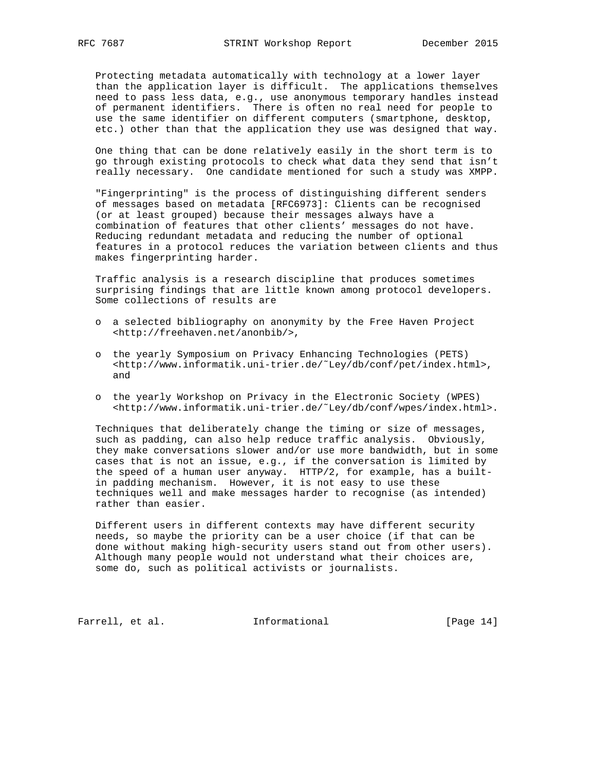Protecting metadata automatically with technology at a lower layer than the application layer is difficult. The applications themselves need to pass less data, e.g., use anonymous temporary handles instead of permanent identifiers. There is often no real need for people to use the same identifier on different computers (smartphone, desktop, etc.) other than that the application they use was designed that way.

 One thing that can be done relatively easily in the short term is to go through existing protocols to check what data they send that isn't really necessary. One candidate mentioned for such a study was XMPP.

 "Fingerprinting" is the process of distinguishing different senders of messages based on metadata [RFC6973]: Clients can be recognised (or at least grouped) because their messages always have a combination of features that other clients' messages do not have. Reducing redundant metadata and reducing the number of optional features in a protocol reduces the variation between clients and thus makes fingerprinting harder.

 Traffic analysis is a research discipline that produces sometimes surprising findings that are little known among protocol developers. Some collections of results are

- o a selected bibliography on anonymity by the Free Haven Project <http://freehaven.net/anonbib/>,
- o the yearly Symposium on Privacy Enhancing Technologies (PETS) <http://www.informatik.uni-trier.de/˜Ley/db/conf/pet/index.html>, and
- o the yearly Workshop on Privacy in the Electronic Society (WPES) <http://www.informatik.uni-trier.de/˜Ley/db/conf/wpes/index.html>.

 Techniques that deliberately change the timing or size of messages, such as padding, can also help reduce traffic analysis. Obviously, they make conversations slower and/or use more bandwidth, but in some cases that is not an issue, e.g., if the conversation is limited by the speed of a human user anyway. HTTP/2, for example, has a built in padding mechanism. However, it is not easy to use these techniques well and make messages harder to recognise (as intended) rather than easier.

 Different users in different contexts may have different security needs, so maybe the priority can be a user choice (if that can be done without making high-security users stand out from other users). Although many people would not understand what their choices are, some do, such as political activists or journalists.

Farrell, et al. 1nformational [Page 14]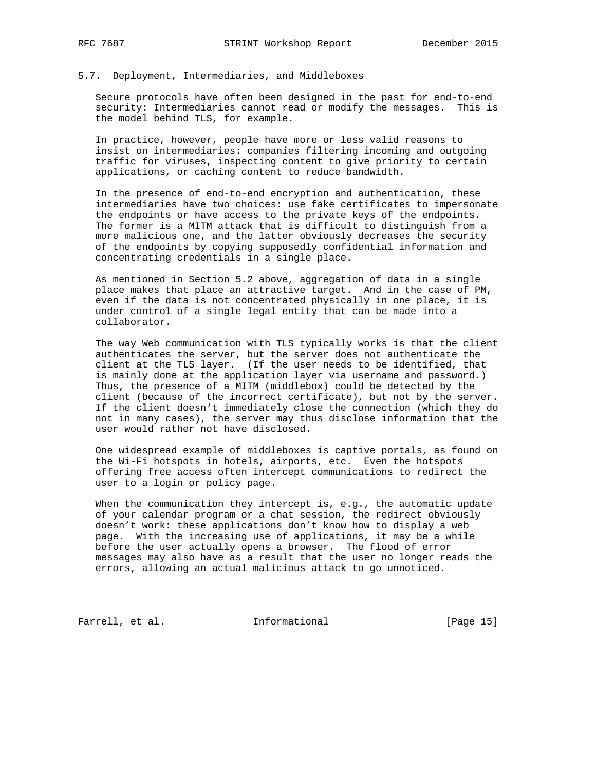# 5.7. Deployment, Intermediaries, and Middleboxes

 Secure protocols have often been designed in the past for end-to-end security: Intermediaries cannot read or modify the messages. This is the model behind TLS, for example.

 In practice, however, people have more or less valid reasons to insist on intermediaries: companies filtering incoming and outgoing traffic for viruses, inspecting content to give priority to certain applications, or caching content to reduce bandwidth.

 In the presence of end-to-end encryption and authentication, these intermediaries have two choices: use fake certificates to impersonate the endpoints or have access to the private keys of the endpoints. The former is a MITM attack that is difficult to distinguish from a more malicious one, and the latter obviously decreases the security of the endpoints by copying supposedly confidential information and concentrating credentials in a single place.

 As mentioned in Section 5.2 above, aggregation of data in a single place makes that place an attractive target. And in the case of PM, even if the data is not concentrated physically in one place, it is under control of a single legal entity that can be made into a collaborator.

 The way Web communication with TLS typically works is that the client authenticates the server, but the server does not authenticate the client at the TLS layer. (If the user needs to be identified, that is mainly done at the application layer via username and password.) Thus, the presence of a MITM (middlebox) could be detected by the client (because of the incorrect certificate), but not by the server. If the client doesn't immediately close the connection (which they do not in many cases), the server may thus disclose information that the user would rather not have disclosed.

 One widespread example of middleboxes is captive portals, as found on the Wi-Fi hotspots in hotels, airports, etc. Even the hotspots offering free access often intercept communications to redirect the user to a login or policy page.

 When the communication they intercept is, e.g., the automatic update of your calendar program or a chat session, the redirect obviously doesn't work: these applications don't know how to display a web page. With the increasing use of applications, it may be a while before the user actually opens a browser. The flood of error messages may also have as a result that the user no longer reads the errors, allowing an actual malicious attack to go unnoticed.

Farrell, et al. 1nformational [Page 15]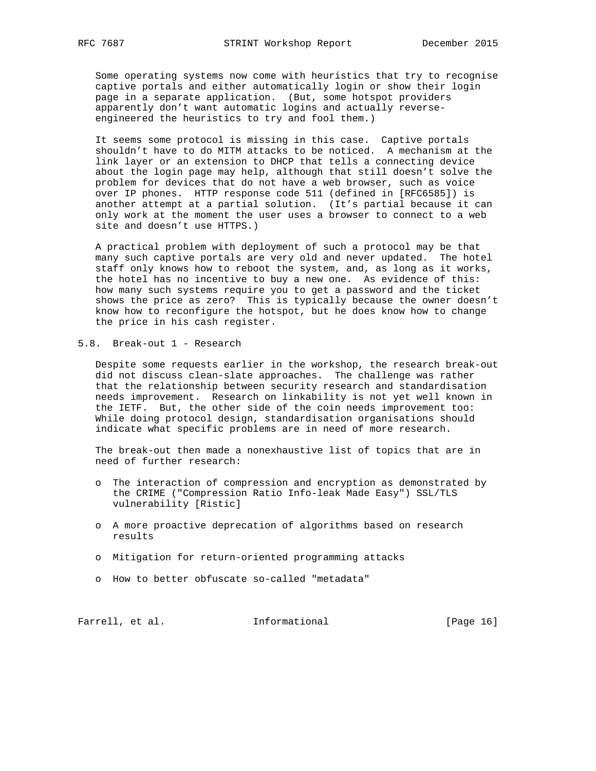Some operating systems now come with heuristics that try to recognise captive portals and either automatically login or show their login page in a separate application. (But, some hotspot providers apparently don't want automatic logins and actually reverse engineered the heuristics to try and fool them.)

 It seems some protocol is missing in this case. Captive portals shouldn't have to do MITM attacks to be noticed. A mechanism at the link layer or an extension to DHCP that tells a connecting device about the login page may help, although that still doesn't solve the problem for devices that do not have a web browser, such as voice over IP phones. HTTP response code 511 (defined in [RFC6585]) is another attempt at a partial solution. (It's partial because it can only work at the moment the user uses a browser to connect to a web site and doesn't use HTTPS.)

 A practical problem with deployment of such a protocol may be that many such captive portals are very old and never updated. The hotel staff only knows how to reboot the system, and, as long as it works, the hotel has no incentive to buy a new one. As evidence of this: how many such systems require you to get a password and the ticket shows the price as zero? This is typically because the owner doesn't know how to reconfigure the hotspot, but he does know how to change the price in his cash register.

5.8. Break-out 1 - Research

 Despite some requests earlier in the workshop, the research break-out did not discuss clean-slate approaches. The challenge was rather that the relationship between security research and standardisation needs improvement. Research on linkability is not yet well known in the IETF. But, the other side of the coin needs improvement too: While doing protocol design, standardisation organisations should indicate what specific problems are in need of more research.

 The break-out then made a nonexhaustive list of topics that are in need of further research:

- o The interaction of compression and encryption as demonstrated by the CRIME ("Compression Ratio Info-leak Made Easy") SSL/TLS vulnerability [Ristic]
- o A more proactive deprecation of algorithms based on research results
- o Mitigation for return-oriented programming attacks
- o How to better obfuscate so-called "metadata"

Farrell, et al. 1nformational [Page 16]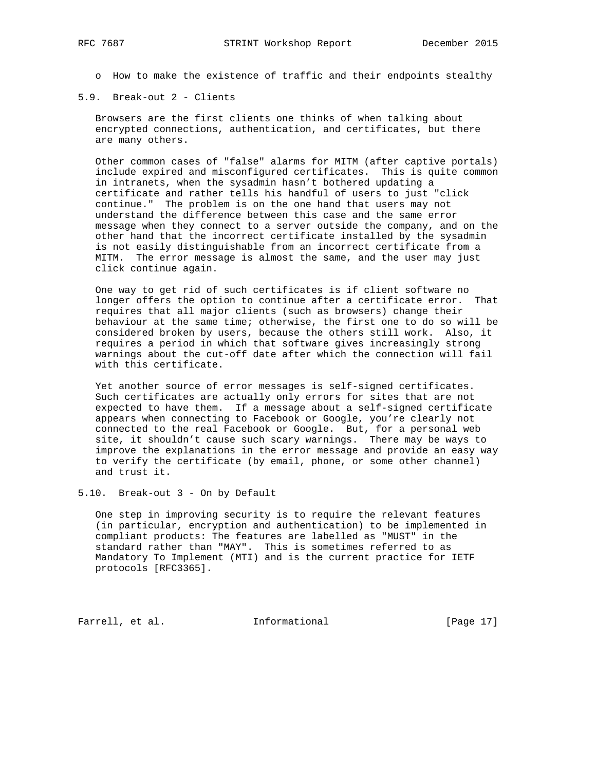o How to make the existence of traffic and their endpoints stealthy

5.9. Break-out 2 - Clients

 Browsers are the first clients one thinks of when talking about encrypted connections, authentication, and certificates, but there are many others.

 Other common cases of "false" alarms for MITM (after captive portals) include expired and misconfigured certificates. This is quite common in intranets, when the sysadmin hasn't bothered updating a certificate and rather tells his handful of users to just "click continue." The problem is on the one hand that users may not understand the difference between this case and the same error message when they connect to a server outside the company, and on the other hand that the incorrect certificate installed by the sysadmin is not easily distinguishable from an incorrect certificate from a MITM. The error message is almost the same, and the user may just click continue again.

 One way to get rid of such certificates is if client software no longer offers the option to continue after a certificate error. That requires that all major clients (such as browsers) change their behaviour at the same time; otherwise, the first one to do so will be considered broken by users, because the others still work. Also, it requires a period in which that software gives increasingly strong warnings about the cut-off date after which the connection will fail with this certificate.

 Yet another source of error messages is self-signed certificates. Such certificates are actually only errors for sites that are not expected to have them. If a message about a self-signed certificate appears when connecting to Facebook or Google, you're clearly not connected to the real Facebook or Google. But, for a personal web site, it shouldn't cause such scary warnings. There may be ways to improve the explanations in the error message and provide an easy way to verify the certificate (by email, phone, or some other channel) and trust it.

5.10. Break-out 3 - On by Default

 One step in improving security is to require the relevant features (in particular, encryption and authentication) to be implemented in compliant products: The features are labelled as "MUST" in the standard rather than "MAY". This is sometimes referred to as Mandatory To Implement (MTI) and is the current practice for IETF protocols [RFC3365].

Farrell, et al. 1nformational [Page 17]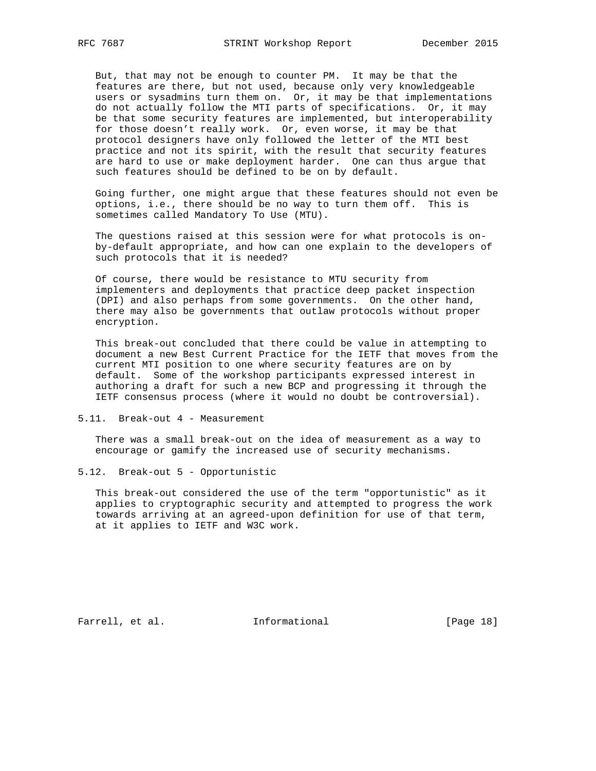But, that may not be enough to counter PM. It may be that the features are there, but not used, because only very knowledgeable users or sysadmins turn them on. Or, it may be that implementations do not actually follow the MTI parts of specifications. Or, it may be that some security features are implemented, but interoperability for those doesn't really work. Or, even worse, it may be that protocol designers have only followed the letter of the MTI best practice and not its spirit, with the result that security features are hard to use or make deployment harder. One can thus argue that such features should be defined to be on by default.

 Going further, one might argue that these features should not even be options, i.e., there should be no way to turn them off. This is sometimes called Mandatory To Use (MTU).

 The questions raised at this session were for what protocols is on by-default appropriate, and how can one explain to the developers of such protocols that it is needed?

 Of course, there would be resistance to MTU security from implementers and deployments that practice deep packet inspection (DPI) and also perhaps from some governments. On the other hand, there may also be governments that outlaw protocols without proper encryption.

 This break-out concluded that there could be value in attempting to document a new Best Current Practice for the IETF that moves from the current MTI position to one where security features are on by default. Some of the workshop participants expressed interest in authoring a draft for such a new BCP and progressing it through the IETF consensus process (where it would no doubt be controversial).

5.11. Break-out 4 - Measurement

 There was a small break-out on the idea of measurement as a way to encourage or gamify the increased use of security mechanisms.

5.12. Break-out 5 - Opportunistic

 This break-out considered the use of the term "opportunistic" as it applies to cryptographic security and attempted to progress the work towards arriving at an agreed-upon definition for use of that term, at it applies to IETF and W3C work.

Farrell, et al. 1nformational [Page 18]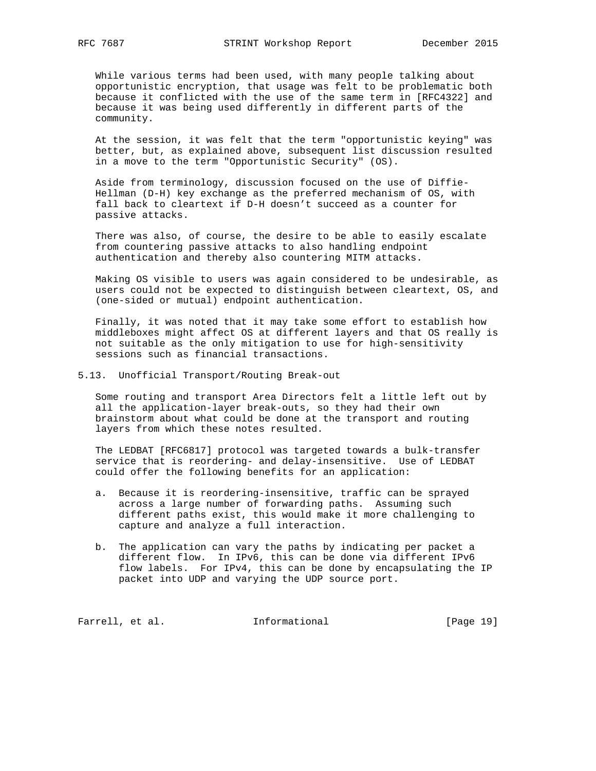While various terms had been used, with many people talking about opportunistic encryption, that usage was felt to be problematic both because it conflicted with the use of the same term in [RFC4322] and because it was being used differently in different parts of the community.

 At the session, it was felt that the term "opportunistic keying" was better, but, as explained above, subsequent list discussion resulted in a move to the term "Opportunistic Security" (OS).

 Aside from terminology, discussion focused on the use of Diffie- Hellman (D-H) key exchange as the preferred mechanism of OS, with fall back to cleartext if D-H doesn't succeed as a counter for passive attacks.

 There was also, of course, the desire to be able to easily escalate from countering passive attacks to also handling endpoint authentication and thereby also countering MITM attacks.

 Making OS visible to users was again considered to be undesirable, as users could not be expected to distinguish between cleartext, OS, and (one-sided or mutual) endpoint authentication.

 Finally, it was noted that it may take some effort to establish how middleboxes might affect OS at different layers and that OS really is not suitable as the only mitigation to use for high-sensitivity sessions such as financial transactions.

5.13. Unofficial Transport/Routing Break-out

 Some routing and transport Area Directors felt a little left out by all the application-layer break-outs, so they had their own brainstorm about what could be done at the transport and routing layers from which these notes resulted.

 The LEDBAT [RFC6817] protocol was targeted towards a bulk-transfer service that is reordering- and delay-insensitive. Use of LEDBAT could offer the following benefits for an application:

- a. Because it is reordering-insensitive, traffic can be sprayed across a large number of forwarding paths. Assuming such different paths exist, this would make it more challenging to capture and analyze a full interaction.
- b. The application can vary the paths by indicating per packet a different flow. In IPv6, this can be done via different IPv6 flow labels. For IPv4, this can be done by encapsulating the IP packet into UDP and varying the UDP source port.

Farrell, et al. 1nformational [Page 19]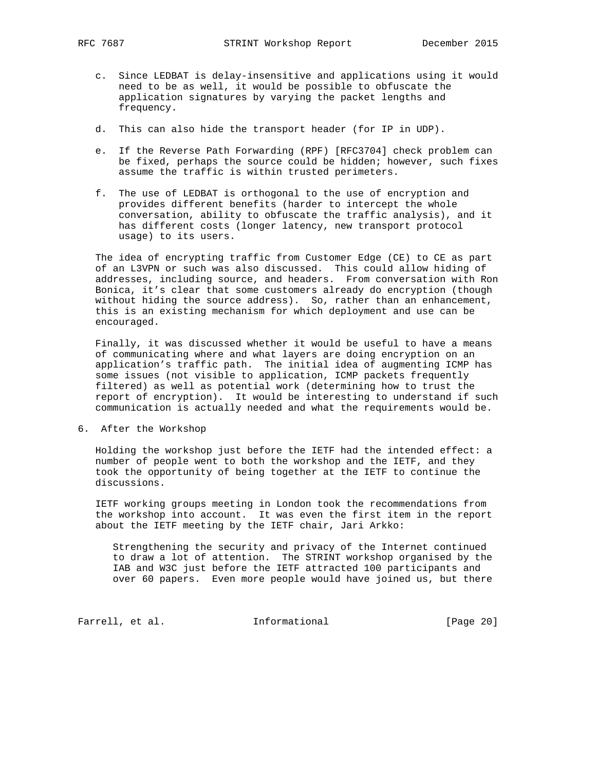- c. Since LEDBAT is delay-insensitive and applications using it would need to be as well, it would be possible to obfuscate the application signatures by varying the packet lengths and frequency.
- d. This can also hide the transport header (for IP in UDP).
- e. If the Reverse Path Forwarding (RPF) [RFC3704] check problem can be fixed, perhaps the source could be hidden; however, such fixes assume the traffic is within trusted perimeters.
- f. The use of LEDBAT is orthogonal to the use of encryption and provides different benefits (harder to intercept the whole conversation, ability to obfuscate the traffic analysis), and it has different costs (longer latency, new transport protocol usage) to its users.

 The idea of encrypting traffic from Customer Edge (CE) to CE as part of an L3VPN or such was also discussed. This could allow hiding of addresses, including source, and headers. From conversation with Ron Bonica, it's clear that some customers already do encryption (though without hiding the source address). So, rather than an enhancement, this is an existing mechanism for which deployment and use can be encouraged.

 Finally, it was discussed whether it would be useful to have a means of communicating where and what layers are doing encryption on an application's traffic path. The initial idea of augmenting ICMP has some issues (not visible to application, ICMP packets frequently filtered) as well as potential work (determining how to trust the report of encryption). It would be interesting to understand if such communication is actually needed and what the requirements would be.

6. After the Workshop

 Holding the workshop just before the IETF had the intended effect: a number of people went to both the workshop and the IETF, and they took the opportunity of being together at the IETF to continue the discussions.

 IETF working groups meeting in London took the recommendations from the workshop into account. It was even the first item in the report about the IETF meeting by the IETF chair, Jari Arkko:

 Strengthening the security and privacy of the Internet continued to draw a lot of attention. The STRINT workshop organised by the IAB and W3C just before the IETF attracted 100 participants and over 60 papers. Even more people would have joined us, but there

Farrell, et al. 1nformational [Page 20]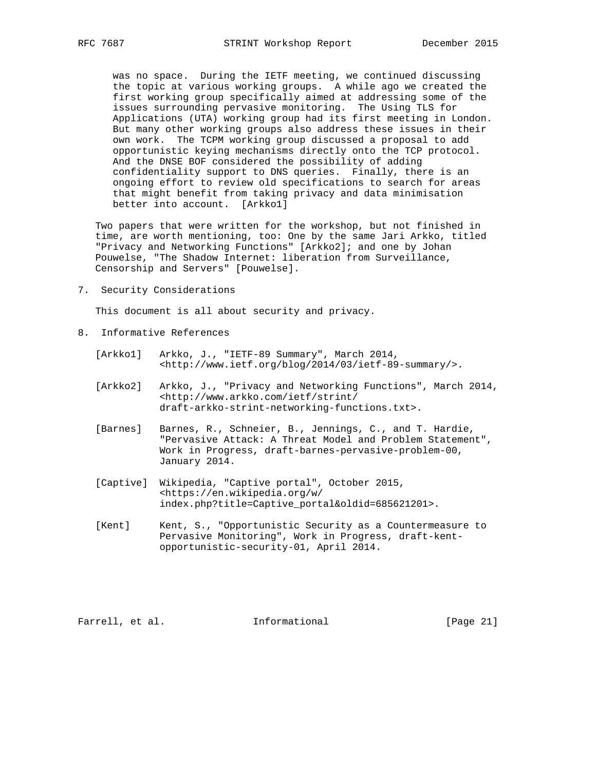was no space. During the IETF meeting, we continued discussing the topic at various working groups. A while ago we created the first working group specifically aimed at addressing some of the issues surrounding pervasive monitoring. The Using TLS for Applications (UTA) working group had its first meeting in London. But many other working groups also address these issues in their own work. The TCPM working group discussed a proposal to add opportunistic keying mechanisms directly onto the TCP protocol. And the DNSE BOF considered the possibility of adding confidentiality support to DNS queries. Finally, there is an ongoing effort to review old specifications to search for areas that might benefit from taking privacy and data minimisation better into account. [Arkko1]

 Two papers that were written for the workshop, but not finished in time, are worth mentioning, too: One by the same Jari Arkko, titled "Privacy and Networking Functions" [Arkko2]; and one by Johan Pouwelse, "The Shadow Internet: liberation from Surveillance, Censorship and Servers" [Pouwelse].

7. Security Considerations

This document is all about security and privacy.

- 8. Informative References
	- [Arkko1] Arkko, J., "IETF-89 Summary", March 2014, <http://www.ietf.org/blog/2014/03/ietf-89-summary/>.
	- [Arkko2] Arkko, J., "Privacy and Networking Functions", March 2014, <http://www.arkko.com/ietf/strint/ draft-arkko-strint-networking-functions.txt>.
	- [Barnes] Barnes, R., Schneier, B., Jennings, C., and T. Hardie, "Pervasive Attack: A Threat Model and Problem Statement", Work in Progress, draft-barnes-pervasive-problem-00, January 2014.
	- [Captive] Wikipedia, "Captive portal", October 2015, <https://en.wikipedia.org/w/ index.php?title=Captive\_portal&oldid=685621201>.
	- [Kent] Kent, S., "Opportunistic Security as a Countermeasure to Pervasive Monitoring", Work in Progress, draft-kent opportunistic-security-01, April 2014.

Farrell, et al. 1nformational [Page 21]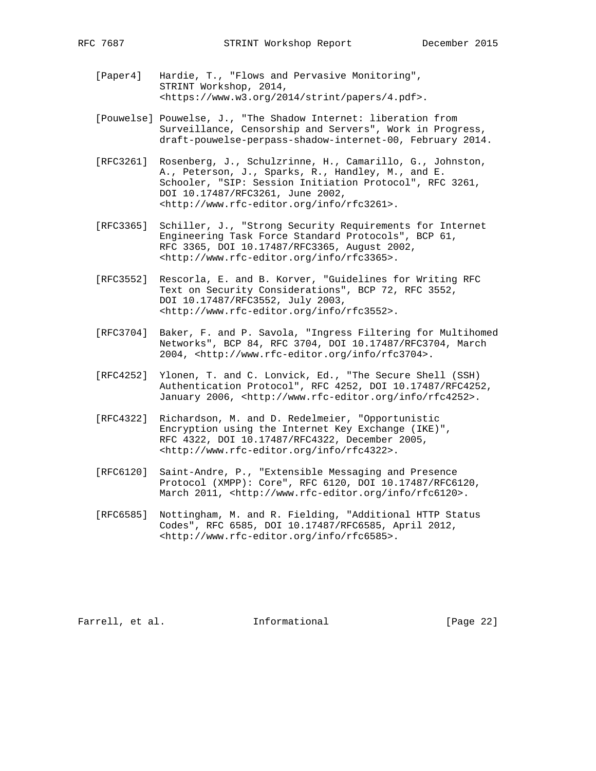- [Paper4] Hardie, T., "Flows and Pervasive Monitoring", STRINT Workshop, 2014, <https://www.w3.org/2014/strint/papers/4.pdf>.
- [Pouwelse] Pouwelse, J., "The Shadow Internet: liberation from Surveillance, Censorship and Servers", Work in Progress, draft-pouwelse-perpass-shadow-internet-00, February 2014.
- [RFC3261] Rosenberg, J., Schulzrinne, H., Camarillo, G., Johnston, A., Peterson, J., Sparks, R., Handley, M., and E. Schooler, "SIP: Session Initiation Protocol", RFC 3261, DOI 10.17487/RFC3261, June 2002, <http://www.rfc-editor.org/info/rfc3261>.
- [RFC3365] Schiller, J., "Strong Security Requirements for Internet Engineering Task Force Standard Protocols", BCP 61, RFC 3365, DOI 10.17487/RFC3365, August 2002, <http://www.rfc-editor.org/info/rfc3365>.
- [RFC3552] Rescorla, E. and B. Korver, "Guidelines for Writing RFC Text on Security Considerations", BCP 72, RFC 3552, DOI 10.17487/RFC3552, July 2003, <http://www.rfc-editor.org/info/rfc3552>.
- [RFC3704] Baker, F. and P. Savola, "Ingress Filtering for Multihomed Networks", BCP 84, RFC 3704, DOI 10.17487/RFC3704, March 2004, <http://www.rfc-editor.org/info/rfc3704>.
- [RFC4252] Ylonen, T. and C. Lonvick, Ed., "The Secure Shell (SSH) Authentication Protocol", RFC 4252, DOI 10.17487/RFC4252, January 2006, <http://www.rfc-editor.org/info/rfc4252>.
- [RFC4322] Richardson, M. and D. Redelmeier, "Opportunistic Encryption using the Internet Key Exchange (IKE)", RFC 4322, DOI 10.17487/RFC4322, December 2005, <http://www.rfc-editor.org/info/rfc4322>.
- [RFC6120] Saint-Andre, P., "Extensible Messaging and Presence Protocol (XMPP): Core", RFC 6120, DOI 10.17487/RFC6120, March 2011, <http://www.rfc-editor.org/info/rfc6120>.
- [RFC6585] Nottingham, M. and R. Fielding, "Additional HTTP Status Codes", RFC 6585, DOI 10.17487/RFC6585, April 2012, <http://www.rfc-editor.org/info/rfc6585>.

Farrell, et al. 1nformational [Page 22]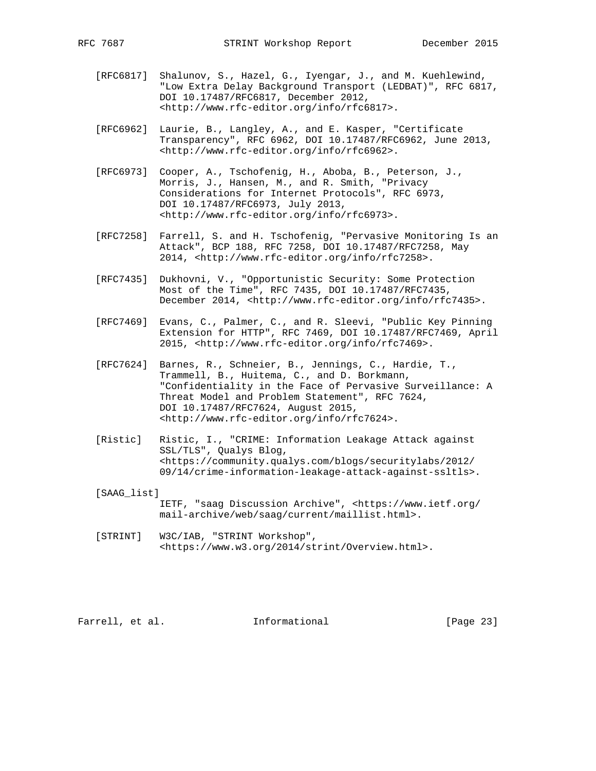- [RFC6817] Shalunov, S., Hazel, G., Iyengar, J., and M. Kuehlewind, "Low Extra Delay Background Transport (LEDBAT)", RFC 6817, DOI 10.17487/RFC6817, December 2012, <http://www.rfc-editor.org/info/rfc6817>.
- [RFC6962] Laurie, B., Langley, A., and E. Kasper, "Certificate Transparency", RFC 6962, DOI 10.17487/RFC6962, June 2013, <http://www.rfc-editor.org/info/rfc6962>.
- [RFC6973] Cooper, A., Tschofenig, H., Aboba, B., Peterson, J., Morris, J., Hansen, M., and R. Smith, "Privacy Considerations for Internet Protocols", RFC 6973, DOI 10.17487/RFC6973, July 2013, <http://www.rfc-editor.org/info/rfc6973>.
- [RFC7258] Farrell, S. and H. Tschofenig, "Pervasive Monitoring Is an Attack", BCP 188, RFC 7258, DOI 10.17487/RFC7258, May 2014, <http://www.rfc-editor.org/info/rfc7258>.
- [RFC7435] Dukhovni, V., "Opportunistic Security: Some Protection Most of the Time", RFC 7435, DOI 10.17487/RFC7435, December 2014, <http://www.rfc-editor.org/info/rfc7435>.
- [RFC7469] Evans, C., Palmer, C., and R. Sleevi, "Public Key Pinning Extension for HTTP", RFC 7469, DOI 10.17487/RFC7469, April 2015, <http://www.rfc-editor.org/info/rfc7469>.
- [RFC7624] Barnes, R., Schneier, B., Jennings, C., Hardie, T., Trammell, B., Huitema, C., and D. Borkmann, "Confidentiality in the Face of Pervasive Surveillance: A Threat Model and Problem Statement", RFC 7624, DOI 10.17487/RFC7624, August 2015, <http://www.rfc-editor.org/info/rfc7624>.
- [Ristic] Ristic, I., "CRIME: Information Leakage Attack against SSL/TLS", Qualys Blog, <https://community.qualys.com/blogs/securitylabs/2012/ 09/14/crime-information-leakage-attack-against-ssltls>.
- [SAAG\_list] IETF, "saag Discussion Archive", <https://www.ietf.org/ mail-archive/web/saag/current/maillist.html>.
- [STRINT] W3C/IAB, "STRINT Workshop", <https://www.w3.org/2014/strint/Overview.html>.

Farrell, et al. 1nformational [Page 23]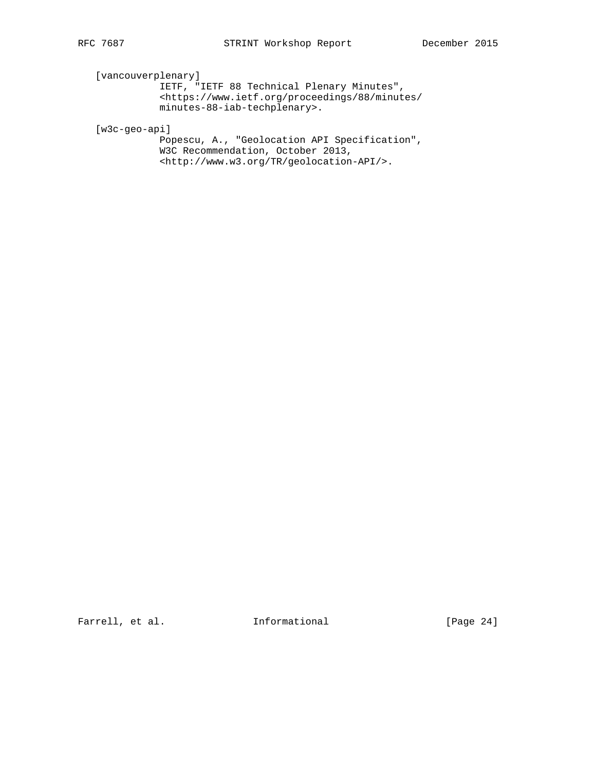[vancouverplenary]

 IETF, "IETF 88 Technical Plenary Minutes", <https://www.ietf.org/proceedings/88/minutes/ minutes-88-iab-techplenary>.

[w3c-geo-api]

 Popescu, A., "Geolocation API Specification", W3C Recommendation, October 2013, <http://www.w3.org/TR/geolocation-API/>.

Farrell, et al. 1nformational [Page 24]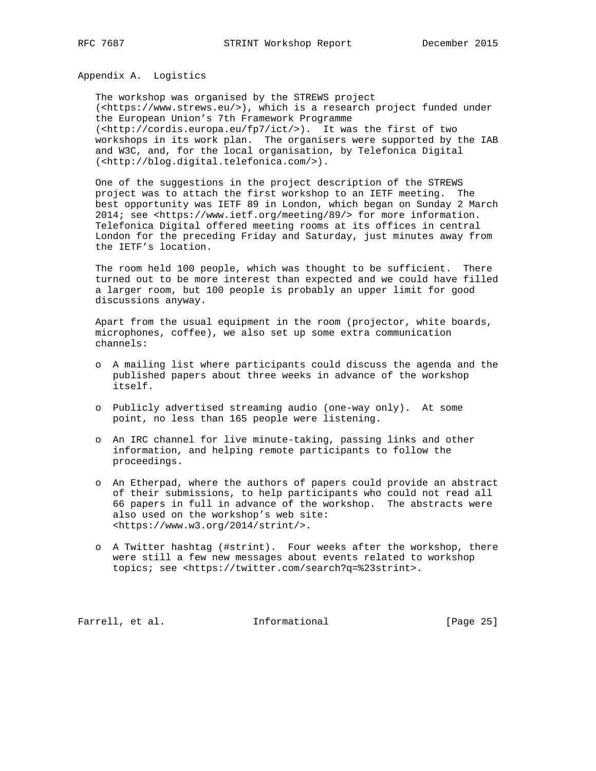Appendix A. Logistics

 The workshop was organised by the STREWS project (<https://www.strews.eu/>), which is a research project funded under the European Union's 7th Framework Programme (<http://cordis.europa.eu/fp7/ict/>). It was the first of two workshops in its work plan. The organisers were supported by the IAB and W3C, and, for the local organisation, by Telefonica Digital (<http://blog.digital.telefonica.com/>).

 One of the suggestions in the project description of the STREWS project was to attach the first workshop to an IETF meeting. The best opportunity was IETF 89 in London, which began on Sunday 2 March 2014; see <https://www.ietf.org/meeting/89/> for more information. Telefonica Digital offered meeting rooms at its offices in central London for the preceding Friday and Saturday, just minutes away from the IETF's location.

 The room held 100 people, which was thought to be sufficient. There turned out to be more interest than expected and we could have filled a larger room, but 100 people is probably an upper limit for good discussions anyway.

 Apart from the usual equipment in the room (projector, white boards, microphones, coffee), we also set up some extra communication channels:

- o A mailing list where participants could discuss the agenda and the published papers about three weeks in advance of the workshop itself.
- o Publicly advertised streaming audio (one-way only). At some point, no less than 165 people were listening.
- o An IRC channel for live minute-taking, passing links and other information, and helping remote participants to follow the proceedings.
- o An Etherpad, where the authors of papers could provide an abstract of their submissions, to help participants who could not read all 66 papers in full in advance of the workshop. The abstracts were also used on the workshop's web site: <https://www.w3.org/2014/strint/>.
- o A Twitter hashtag (#strint). Four weeks after the workshop, there were still a few new messages about events related to workshop topics; see <https://twitter.com/search?q=%23strint>.

Farrell, et al. 1nformational [Page 25]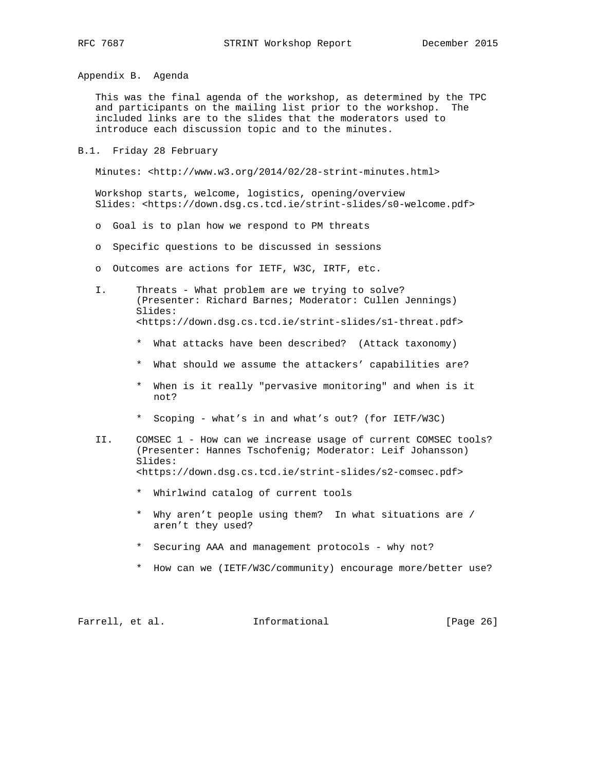Appendix B. Agenda

 This was the final agenda of the workshop, as determined by the TPC and participants on the mailing list prior to the workshop. The included links are to the slides that the moderators used to introduce each discussion topic and to the minutes.

B.1. Friday 28 February

Minutes: <http://www.w3.org/2014/02/28-strint-minutes.html>

 Workshop starts, welcome, logistics, opening/overview Slides: <https://down.dsg.cs.tcd.ie/strint-slides/s0-welcome.pdf>

- o Goal is to plan how we respond to PM threats
- o Specific questions to be discussed in sessions
- o Outcomes are actions for IETF, W3C, IRTF, etc.
- I. Threats What problem are we trying to solve? (Presenter: Richard Barnes; Moderator: Cullen Jennings) Slides: <https://down.dsg.cs.tcd.ie/strint-slides/s1-threat.pdf>
	- \* What attacks have been described? (Attack taxonomy)
	- \* What should we assume the attackers' capabilities are?
	- \* When is it really "pervasive monitoring" and when is it not?
	- \* Scoping what's in and what's out? (for IETF/W3C)
- II. COMSEC 1 How can we increase usage of current COMSEC tools? (Presenter: Hannes Tschofenig; Moderator: Leif Johansson) Slides: <https://down.dsg.cs.tcd.ie/strint-slides/s2-comsec.pdf>
	- \* Whirlwind catalog of current tools
	- \* Why aren't people using them? In what situations are / aren't they used?
	- \* Securing AAA and management protocols why not?
	- \* How can we (IETF/W3C/community) encourage more/better use?

Farrell, et al. 1nformational [Page 26]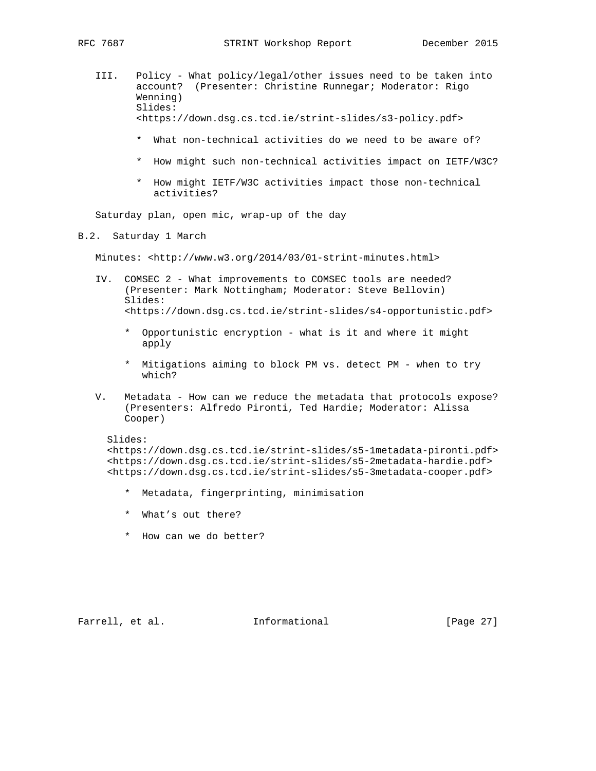- III. Policy What policy/legal/other issues need to be taken into account? (Presenter: Christine Runnegar; Moderator: Rigo Wenning) Slides: <https://down.dsg.cs.tcd.ie/strint-slides/s3-policy.pdf>
	- \* What non-technical activities do we need to be aware of?
	- \* How might such non-technical activities impact on IETF/W3C?
	- \* How might IETF/W3C activities impact those non-technical activities?

Saturday plan, open mic, wrap-up of the day

B.2. Saturday 1 March

Minutes: <http://www.w3.org/2014/03/01-strint-minutes.html>

- IV. COMSEC 2 What improvements to COMSEC tools are needed? (Presenter: Mark Nottingham; Moderator: Steve Bellovin) Slides: <https://down.dsg.cs.tcd.ie/strint-slides/s4-opportunistic.pdf>
	- \* Opportunistic encryption what is it and where it might apply
	- \* Mitigations aiming to block PM vs. detect PM when to try which?
- V. Metadata How can we reduce the metadata that protocols expose? (Presenters: Alfredo Pironti, Ted Hardie; Moderator: Alissa Cooper)

# Slides:

 <https://down.dsg.cs.tcd.ie/strint-slides/s5-1metadata-pironti.pdf> <https://down.dsg.cs.tcd.ie/strint-slides/s5-2metadata-hardie.pdf> <https://down.dsg.cs.tcd.ie/strint-slides/s5-3metadata-cooper.pdf>

- \* Metadata, fingerprinting, minimisation
- \* What's out there?
- \* How can we do better?

Farrell, et al. 1nformational [Page 27]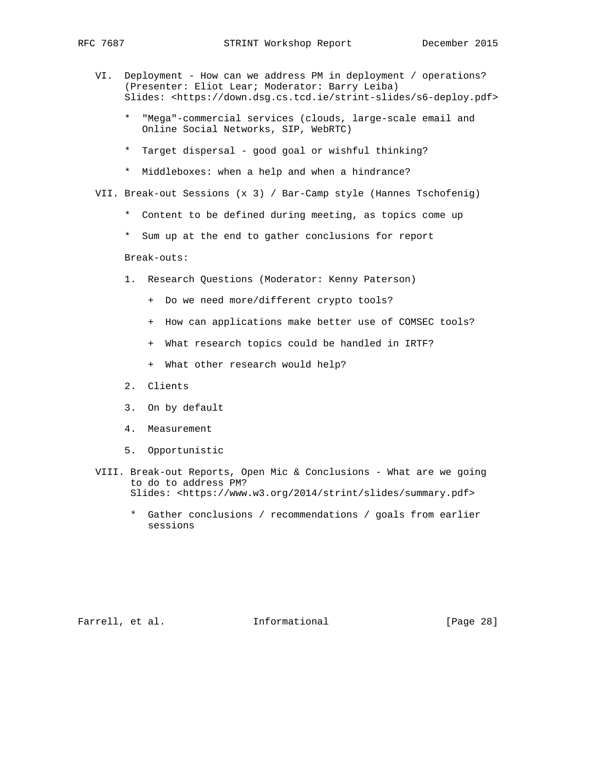- VI. Deployment How can we address PM in deployment / operations? (Presenter: Eliot Lear; Moderator: Barry Leiba) Slides: <https://down.dsg.cs.tcd.ie/strint-slides/s6-deploy.pdf>
	- \* "Mega"-commercial services (clouds, large-scale email and Online Social Networks, SIP, WebRTC)
	- \* Target dispersal good goal or wishful thinking?
	- \* Middleboxes: when a help and when a hindrance?
- VII. Break-out Sessions (x 3) / Bar-Camp style (Hannes Tschofenig)
	- \* Content to be defined during meeting, as topics come up
	- \* Sum up at the end to gather conclusions for report

Break-outs:

- 1. Research Questions (Moderator: Kenny Paterson)
	- + Do we need more/different crypto tools?
	- + How can applications make better use of COMSEC tools?
	- + What research topics could be handled in IRTF?
	- + What other research would help?
- 2. Clients
- 3. On by default
- 4. Measurement
- 5. Opportunistic
- VIII. Break-out Reports, Open Mic & Conclusions What are we going to do to address PM? Slides: <https://www.w3.org/2014/strint/slides/summary.pdf>
	- \* Gather conclusions / recommendations / goals from earlier sessions

Farrell, et al. 1nformational [Page 28]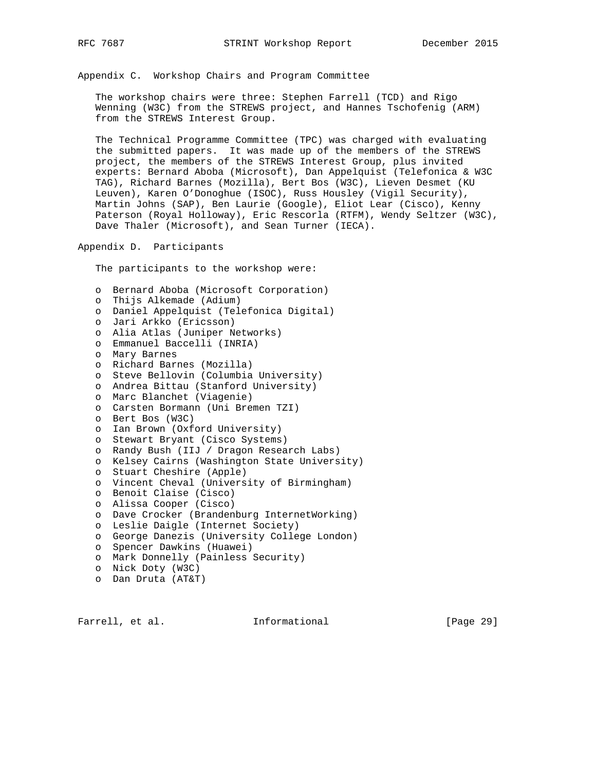Appendix C. Workshop Chairs and Program Committee

 The workshop chairs were three: Stephen Farrell (TCD) and Rigo Wenning (W3C) from the STREWS project, and Hannes Tschofenig (ARM) from the STREWS Interest Group.

 The Technical Programme Committee (TPC) was charged with evaluating the submitted papers. It was made up of the members of the STREWS project, the members of the STREWS Interest Group, plus invited experts: Bernard Aboba (Microsoft), Dan Appelquist (Telefonica & W3C TAG), Richard Barnes (Mozilla), Bert Bos (W3C), Lieven Desmet (KU Leuven), Karen O'Donoghue (ISOC), Russ Housley (Vigil Security), Martin Johns (SAP), Ben Laurie (Google), Eliot Lear (Cisco), Kenny Paterson (Royal Holloway), Eric Rescorla (RTFM), Wendy Seltzer (W3C), Dave Thaler (Microsoft), and Sean Turner (IECA).

Appendix D. Participants

The participants to the workshop were:

 o Bernard Aboba (Microsoft Corporation) o Thijs Alkemade (Adium) o Daniel Appelquist (Telefonica Digital) o Jari Arkko (Ericsson) o Alia Atlas (Juniper Networks) o Emmanuel Baccelli (INRIA) o Mary Barnes o Richard Barnes (Mozilla) o Steve Bellovin (Columbia University) o Andrea Bittau (Stanford University) o Marc Blanchet (Viagenie) o Carsten Bormann (Uni Bremen TZI) o Bert Bos (W3C) o Ian Brown (Oxford University) o Stewart Bryant (Cisco Systems) o Randy Bush (IIJ / Dragon Research Labs) o Kelsey Cairns (Washington State University) o Stuart Cheshire (Apple) o Vincent Cheval (University of Birmingham) o Benoit Claise (Cisco) o Alissa Cooper (Cisco) o Dave Crocker (Brandenburg InternetWorking) o Leslie Daigle (Internet Society) o George Danezis (University College London) o Spencer Dawkins (Huawei) o Mark Donnelly (Painless Security) o Nick Doty (W3C) o Dan Druta (AT&T)

Farrell, et al. 1nformational [Page 29]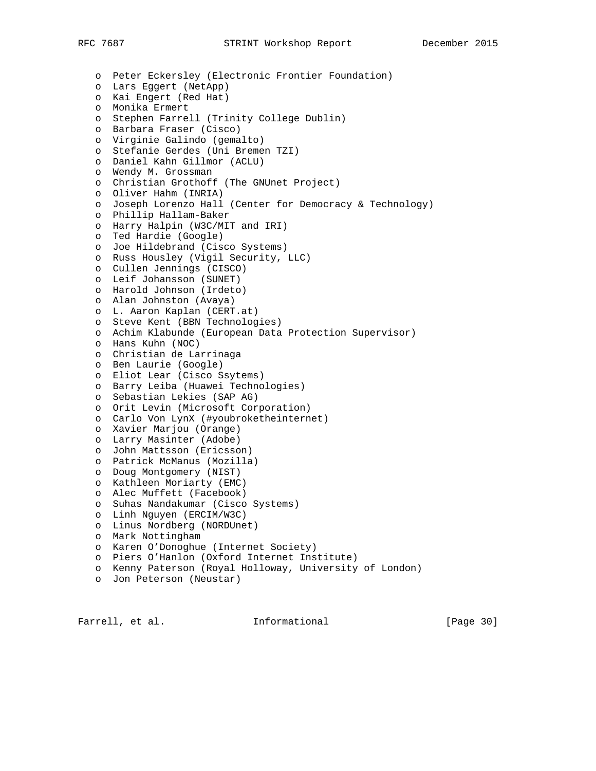o Peter Eckersley (Electronic Frontier Foundation) o Lars Eggert (NetApp) o Kai Engert (Red Hat) o Monika Ermert o Stephen Farrell (Trinity College Dublin) o Barbara Fraser (Cisco) o Virginie Galindo (gemalto) o Stefanie Gerdes (Uni Bremen TZI) o Daniel Kahn Gillmor (ACLU) o Wendy M. Grossman o Christian Grothoff (The GNUnet Project) o Oliver Hahm (INRIA) o Joseph Lorenzo Hall (Center for Democracy & Technology) o Phillip Hallam-Baker o Harry Halpin (W3C/MIT and IRI) o Ted Hardie (Google) o Joe Hildebrand (Cisco Systems) o Russ Housley (Vigil Security, LLC) o Cullen Jennings (CISCO) o Leif Johansson (SUNET) o Harold Johnson (Irdeto) o Alan Johnston (Avaya) o L. Aaron Kaplan (CERT.at) o Steve Kent (BBN Technologies) o Achim Klabunde (European Data Protection Supervisor) o Hans Kuhn (NOC) o Christian de Larrinaga o Ben Laurie (Google) o Eliot Lear (Cisco Ssytems) o Barry Leiba (Huawei Technologies) o Sebastian Lekies (SAP AG) o Orit Levin (Microsoft Corporation) o Carlo Von LynX (#youbroketheinternet) o Xavier Marjou (Orange) o Larry Masinter (Adobe) o John Mattsson (Ericsson) o Patrick McManus (Mozilla) o Doug Montgomery (NIST) o Kathleen Moriarty (EMC) o Alec Muffett (Facebook) o Suhas Nandakumar (Cisco Systems) o Linh Nguyen (ERCIM/W3C) o Linus Nordberg (NORDUnet) o Mark Nottingham o Karen O'Donoghue (Internet Society) o Piers O'Hanlon (Oxford Internet Institute) o Kenny Paterson (Royal Holloway, University of London) o Jon Peterson (Neustar)

Farrell, et al. 1nformational [Page 30]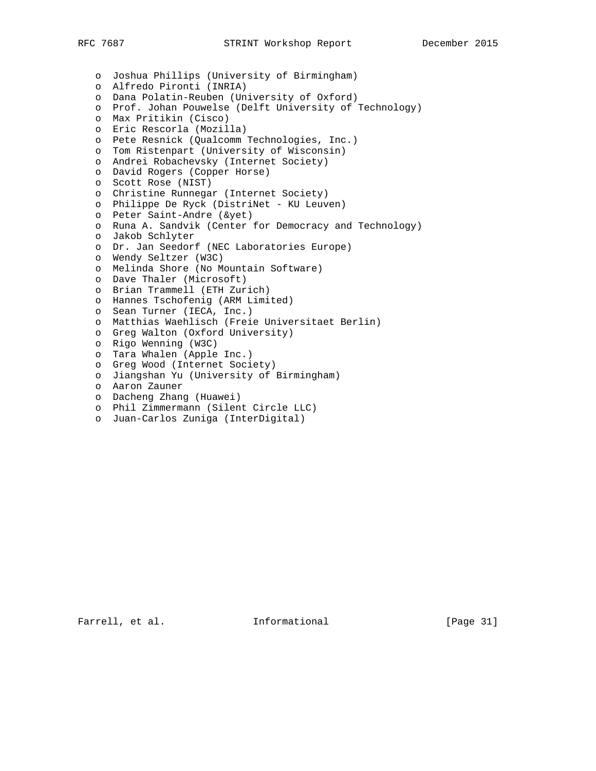o Joshua Phillips (University of Birmingham) o Alfredo Pironti (INRIA) o Dana Polatin-Reuben (University of Oxford) o Prof. Johan Pouwelse (Delft University of Technology) o Max Pritikin (Cisco) o Eric Rescorla (Mozilla) o Pete Resnick (Qualcomm Technologies, Inc.) o Tom Ristenpart (University of Wisconsin) o Andrei Robachevsky (Internet Society) o David Rogers (Copper Horse) o Scott Rose (NIST) o Christine Runnegar (Internet Society) o Philippe De Ryck (DistriNet - KU Leuven) o Peter Saint-Andre (&yet) o Runa A. Sandvik (Center for Democracy and Technology) o Jakob Schlyter o Dr. Jan Seedorf (NEC Laboratories Europe) o Wendy Seltzer (W3C) o Melinda Shore (No Mountain Software) o Dave Thaler (Microsoft) o Brian Trammell (ETH Zurich) o Hannes Tschofenig (ARM Limited) o Sean Turner (IECA, Inc.) o Matthias Waehlisch (Freie Universitaet Berlin) o Greg Walton (Oxford University) o Rigo Wenning (W3C) o Tara Whalen (Apple Inc.) o Greg Wood (Internet Society) o Jiangshan Yu (University of Birmingham) o Aaron Zauner o Dacheng Zhang (Huawei) o Phil Zimmermann (Silent Circle LLC) o Juan-Carlos Zuniga (InterDigital)

Farrell, et al. 1nformational [Page 31]